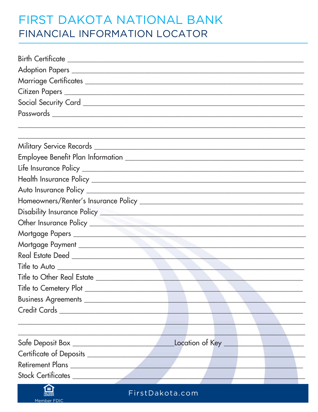## FIRST DAKOTA NATIONAL BANK FINANCIAL INFORMATION LOCATOR

| Mortgage Payment                          |  |
|-------------------------------------------|--|
|                                           |  |
|                                           |  |
|                                           |  |
|                                           |  |
|                                           |  |
|                                           |  |
|                                           |  |
|                                           |  |
| Location of Key _________                 |  |
|                                           |  |
| Retirement Plans                          |  |
| Stock Certificates                        |  |
| 臼<br><b>Example 2018</b> First Dakota.com |  |

FirstDakota.com

Member FDIC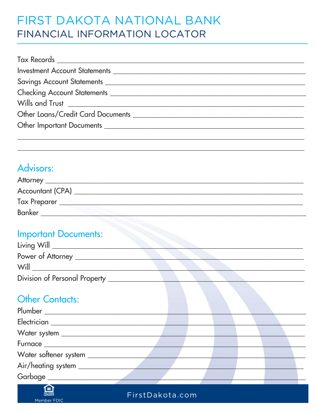# FIRST DAKOTA NATIONAL BANK FINANCIAL INFORMATION LOCATOR

### Advisors:

| <b>Attorney</b>         |  |
|-------------------------|--|
| <b>Accountant (CPA)</b> |  |
| <b>Tax Preparer</b>     |  |
| <b>Banker</b>           |  |

#### **Important Documents:**

| Living Will $\_\_$            |  |
|-------------------------------|--|
| Power of Attorney _           |  |
| Will                          |  |
| Division of Personal Property |  |

### **Other Contacts:**

| Plumber ______________________     |  |  |
|------------------------------------|--|--|
| Electrician ____________           |  |  |
| Water system _____________         |  |  |
| Furnace __________________________ |  |  |
| Water softener system _______      |  |  |
| Air/heating system _______         |  |  |
| Garbage ________________           |  |  |



FirstDakota.com